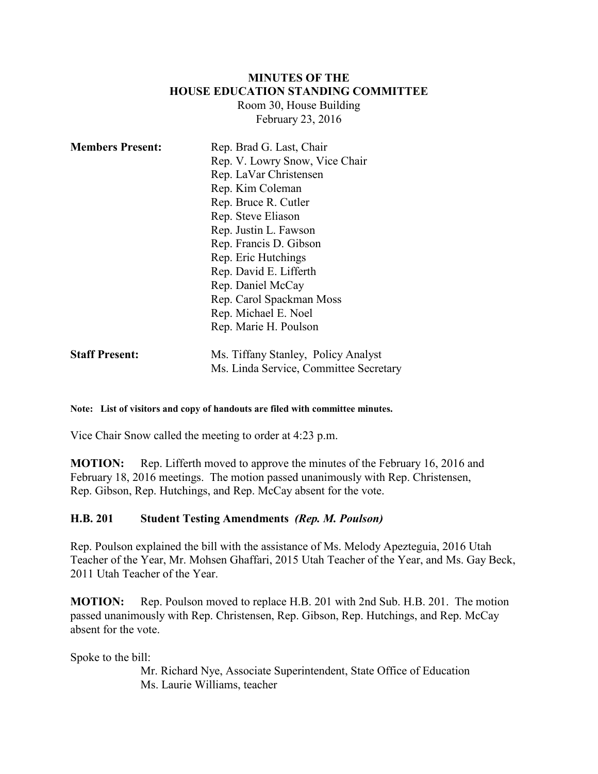#### **MINUTES OF THE HOUSE EDUCATION STANDING COMMITTEE**

Room 30, House Building February 23, 2016

| <b>Members Present:</b> | Rep. Brad G. Last, Chair               |
|-------------------------|----------------------------------------|
|                         | Rep. V. Lowry Snow, Vice Chair         |
|                         | Rep. LaVar Christensen                 |
|                         | Rep. Kim Coleman                       |
|                         | Rep. Bruce R. Cutler                   |
|                         | Rep. Steve Eliason                     |
|                         | Rep. Justin L. Fawson                  |
|                         | Rep. Francis D. Gibson                 |
|                         | Rep. Eric Hutchings                    |
|                         | Rep. David E. Lifferth                 |
|                         | Rep. Daniel McCay                      |
|                         | Rep. Carol Spackman Moss               |
|                         | Rep. Michael E. Noel                   |
|                         | Rep. Marie H. Poulson                  |
| <b>Staff Present:</b>   | Ms. Tiffany Stanley, Policy Analyst    |
|                         | Ms. Linda Service, Committee Secretary |

#### **Note: List of visitors and copy of handouts are filed with committee minutes.**

Vice Chair Snow called the meeting to order at 4:23 p.m.

**MOTION:** Rep. Lifferth moved to approve the minutes of the February 16, 2016 and February 18, 2016 meetings. The motion passed unanimously with Rep. Christensen, Rep. Gibson, Rep. Hutchings, and Rep. McCay absent for the vote.

#### **H.B. 201 Student Testing Amendments** *(Rep. M. Poulson)*

Rep. Poulson explained the bill with the assistance of Ms. Melody Apezteguia, 2016 Utah Teacher of the Year, Mr. Mohsen Ghaffari, 2015 Utah Teacher of the Year, and Ms. Gay Beck, 2011 Utah Teacher of the Year.

**MOTION:** Rep. Poulson moved to replace H.B. 201 with 2nd Sub. H.B. 201. The motion passed unanimously with Rep. Christensen, Rep. Gibson, Rep. Hutchings, and Rep. McCay absent for the vote.

Spoke to the bill:

Mr. Richard Nye, Associate Superintendent, State Office of Education Ms. Laurie Williams, teacher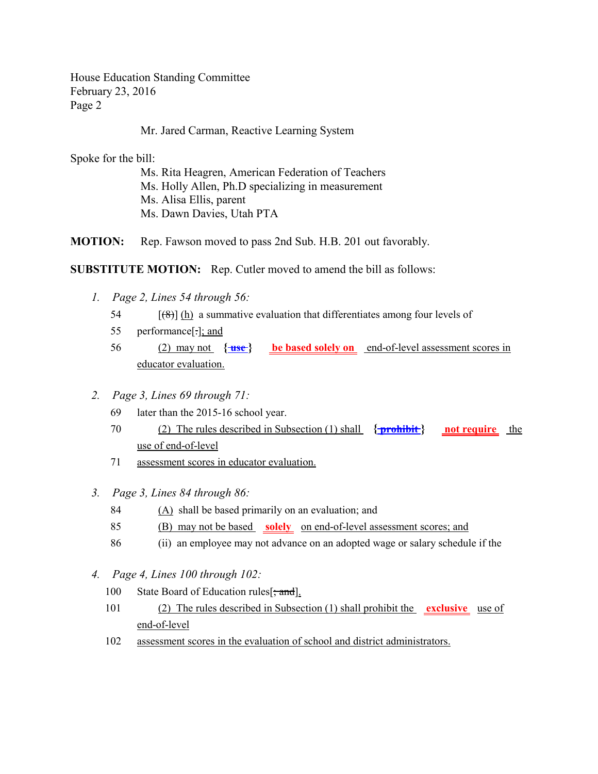Mr. Jared Carman, Reactive Learning System

Spoke for the bill:

Ms. Rita Heagren, American Federation of Teachers Ms. Holly Allen, Ph.D specializing in measurement Ms. Alisa Ellis, parent Ms. Dawn Davies, Utah PTA

**MOTION:** Rep. Fawson moved to pass 2nd Sub. H.B. 201 out favorably.

**SUBSTITUTE MOTION:** Rep. Cutler moved to amend the bill as follows:

- *1. Page 2, Lines 54 through 56:*
	- 54  $[(8)]$  (h) a summative evaluation that differentiates among four levels of
	- 55 performance[.]; and
	- 56 (2) may not **{ use } be based solely on** end-of-level assessment scores in educator evaluation.
- *2. Page 3, Lines 69 through 71:*
	- 69 later than the 2015-16 school year.
	- 70 (2) The rules described in Subsection (1) shall **{ prohibit } not require** the use of end-of-level
	- 71 assessment scores in educator evaluation.
- *3. Page 3, Lines 84 through 86:*
	- 84 (A) shall be based primarily on an evaluation; and
	- 85 (B) may not be based **solely** on end-of-level assessment scores; and
	- 86 (ii) an employee may not advance on an adopted wage or salary schedule if the
- *4. Page 4, Lines 100 through 102:*
	- 100 State Board of Education rules [; and].
	- 101 (2) The rules described in Subsection (1) shall prohibit the **exclusive** use of end-of-level
	- 102 assessment scores in the evaluation of school and district administrators.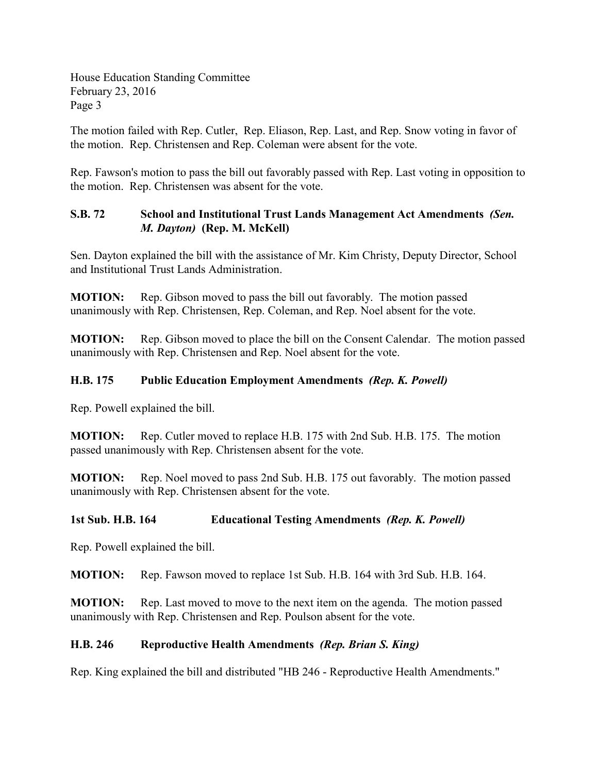The motion failed with Rep. Cutler, Rep. Eliason, Rep. Last, and Rep. Snow voting in favor of the motion. Rep. Christensen and Rep. Coleman were absent for the vote.

Rep. Fawson's motion to pass the bill out favorably passed with Rep. Last voting in opposition to the motion. Rep. Christensen was absent for the vote.

# **S.B. 72 School and Institutional Trust Lands Management Act Amendments** *(Sen. M. Dayton)* **(Rep. M. McKell)**

Sen. Dayton explained the bill with the assistance of Mr. Kim Christy, Deputy Director, School and Institutional Trust Lands Administration.

**MOTION:** Rep. Gibson moved to pass the bill out favorably. The motion passed unanimously with Rep. Christensen, Rep. Coleman, and Rep. Noel absent for the vote.

**MOTION:** Rep. Gibson moved to place the bill on the Consent Calendar. The motion passed unanimously with Rep. Christensen and Rep. Noel absent for the vote.

# **H.B. 175 Public Education Employment Amendments** *(Rep. K. Powell)*

Rep. Powell explained the bill.

**MOTION:** Rep. Cutler moved to replace H.B. 175 with 2nd Sub. H.B. 175. The motion passed unanimously with Rep. Christensen absent for the vote.

**MOTION:** Rep. Noel moved to pass 2nd Sub. H.B. 175 out favorably. The motion passed unanimously with Rep. Christensen absent for the vote.

### **1st Sub. H.B. 164 Educational Testing Amendments** *(Rep. K. Powell)*

Rep. Powell explained the bill.

**MOTION:** Rep. Fawson moved to replace 1st Sub. H.B. 164 with 3rd Sub. H.B. 164.

**MOTION:** Rep. Last moved to move to the next item on the agenda. The motion passed unanimously with Rep. Christensen and Rep. Poulson absent for the vote.

### **H.B. 246 Reproductive Health Amendments** *(Rep. Brian S. King)*

Rep. King explained the bill and distributed "HB 246 - Reproductive Health Amendments."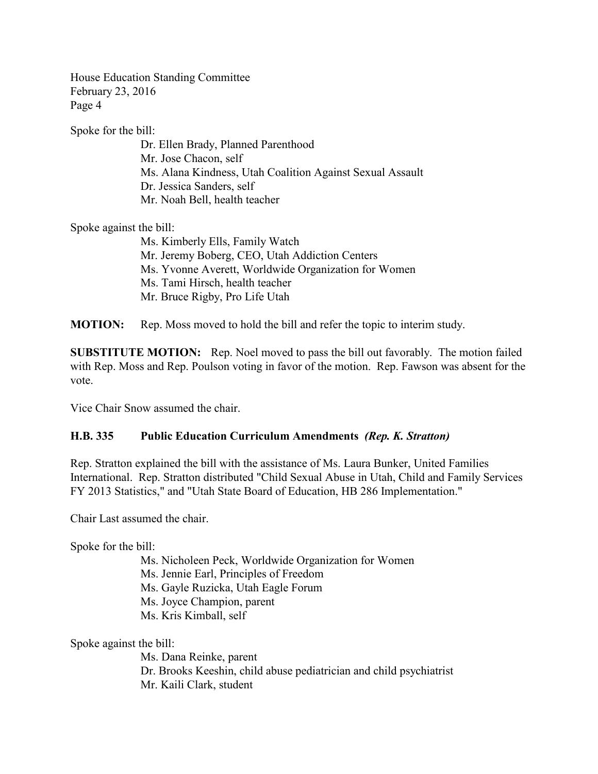Spoke for the bill:

Dr. Ellen Brady, Planned Parenthood Mr. Jose Chacon, self Ms. Alana Kindness, Utah Coalition Against Sexual Assault Dr. Jessica Sanders, self Mr. Noah Bell, health teacher

Spoke against the bill:

Ms. Kimberly Ells, Family Watch Mr. Jeremy Boberg, CEO, Utah Addiction Centers Ms. Yvonne Averett, Worldwide Organization for Women Ms. Tami Hirsch, health teacher Mr. Bruce Rigby, Pro Life Utah

**MOTION:** Rep. Moss moved to hold the bill and refer the topic to interim study.

**SUBSTITUTE MOTION:** Rep. Noel moved to pass the bill out favorably. The motion failed with Rep. Moss and Rep. Poulson voting in favor of the motion. Rep. Fawson was absent for the vote.

Vice Chair Snow assumed the chair.

#### **H.B. 335 Public Education Curriculum Amendments** *(Rep. K. Stratton)*

Rep. Stratton explained the bill with the assistance of Ms. Laura Bunker, United Families International. Rep. Stratton distributed "Child Sexual Abuse in Utah, Child and Family Services FY 2013 Statistics," and "Utah State Board of Education, HB 286 Implementation."

Chair Last assumed the chair.

Spoke for the bill:

Ms. Nicholeen Peck, Worldwide Organization for Women Ms. Jennie Earl, Principles of Freedom Ms. Gayle Ruzicka, Utah Eagle Forum Ms. Joyce Champion, parent Ms. Kris Kimball, self

Spoke against the bill:

Ms. Dana Reinke, parent Dr. Brooks Keeshin, child abuse pediatrician and child psychiatrist Mr. Kaili Clark, student